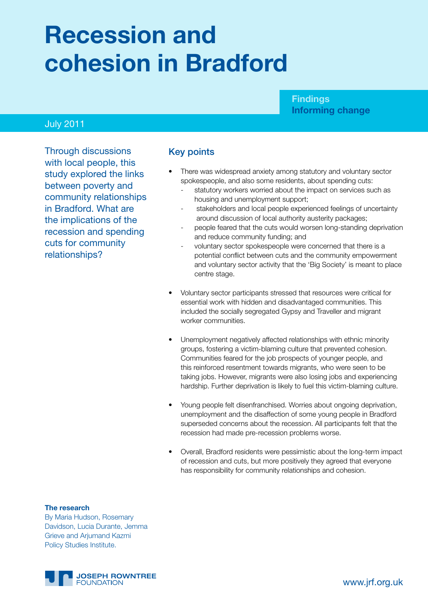# **Recession and cohesion in Bradford**

#### **Findings Informing change**

#### July 2011

Through discussions with local people, this study explored the links between poverty and community relationships in Bradford. What are the implications of the recession and spending cuts for community relationships?

#### Key points

- There was widespread anxiety among statutory and voluntary sector spokespeople, and also some residents, about spending cuts:
	- statutory workers worried about the impact on services such as housing and unemployment support;
	- stakeholders and local people experienced feelings of uncertainty around discussion of local authority austerity packages;
	- people feared that the cuts would worsen long-standing deprivation and reduce community funding; and
	- voluntary sector spokespeople were concerned that there is a potential conflict between cuts and the community empowerment and voluntary sector activity that the 'Big Society' is meant to place centre stage.
- Voluntary sector participants stressed that resources were critical for essential work with hidden and disadvantaged communities. This included the socially segregated Gypsy and Traveller and migrant worker communities.
- Unemployment negatively affected relationships with ethnic minority groups, fostering a victim-blaming culture that prevented cohesion. Communities feared for the job prospects of younger people, and this reinforced resentment towards migrants, who were seen to be taking jobs. However, migrants were also losing jobs and experiencing hardship. Further deprivation is likely to fuel this victim-blaming culture.
- Young people felt disenfranchised. Worries about ongoing deprivation, unemployment and the disaffection of some young people in Bradford superseded concerns about the recession. All participants felt that the recession had made pre-recession problems worse.
- Overall, Bradford residents were pessimistic about the long-term impact of recession and cuts, but more positively they agreed that everyone has responsibility for community relationships and cohesion.

#### **The research**

By Maria Hudson, Rosemary Davidson, Lucia Durante, Jemma Grieve and Arjumand Kazmi Policy Studies Institute.

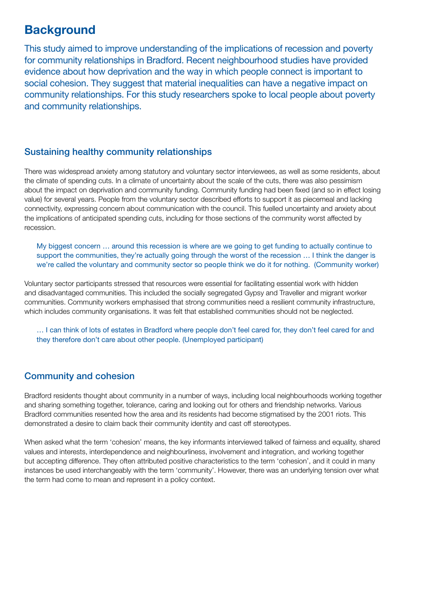# **Background**

This study aimed to improve understanding of the implications of recession and poverty for community relationships in Bradford. Recent neighbourhood studies have provided evidence about how deprivation and the way in which people connect is important to social cohesion. They suggest that material inequalities can have a negative impact on community relationships. For this study researchers spoke to local people about poverty and community relationships.

#### Sustaining healthy community relationships

There was widespread anxiety among statutory and voluntary sector interviewees, as well as some residents, about the climate of spending cuts. In a climate of uncertainty about the scale of the cuts, there was also pessimism about the impact on deprivation and community funding. Community funding had been fixed (and so in effect losing value) for several years. People from the voluntary sector described efforts to support it as piecemeal and lacking connectivity, expressing concern about communication with the council. This fuelled uncertainty and anxiety about the implications of anticipated spending cuts, including for those sections of the community worst affected by recession.

My biggest concern … around this recession is where are we going to get funding to actually continue to support the communities, they're actually going through the worst of the recession ... I think the danger is we're called the voluntary and community sector so people think we do it for nothing. (Community worker)

Voluntary sector participants stressed that resources were essential for facilitating essential work with hidden and disadvantaged communities. This included the socially segregated Gypsy and Traveller and migrant worker communities. Community workers emphasised that strong communities need a resilient community infrastructure, which includes community organisations. It was felt that established communities should not be neglected.

… I can think of lots of estates in Bradford where people don't feel cared for, they don't feel cared for and they therefore don't care about other people. (Unemployed participant)

### Community and cohesion

Bradford residents thought about community in a number of ways, including local neighbourhoods working together and sharing something together, tolerance, caring and looking out for others and friendship networks. Various Bradford communities resented how the area and its residents had become stigmatised by the 2001 riots. This demonstrated a desire to claim back their community identity and cast off stereotypes.

When asked what the term 'cohesion' means, the key informants interviewed talked of fairness and equality, shared values and interests, interdependence and neighbourliness, involvement and integration, and working together but accepting difference. They often attributed positive characteristics to the term 'cohesion', and it could in many instances be used interchangeably with the term 'community'. However, there was an underlying tension over what the term had come to mean and represent in a policy context.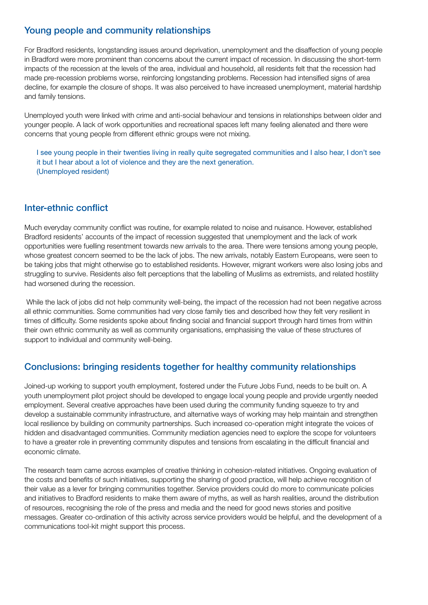#### Young people and community relationships

For Bradford residents, longstanding issues around deprivation, unemployment and the disaffection of young people in Bradford were more prominent than concerns about the current impact of recession. In discussing the short-term impacts of the recession at the levels of the area, individual and household, all residents felt that the recession had made pre-recession problems worse, reinforcing longstanding problems. Recession had intensified signs of area decline, for example the closure of shops. It was also perceived to have increased unemployment, material hardship and family tensions.

Unemployed youth were linked with crime and anti-social behaviour and tensions in relationships between older and younger people. A lack of work opportunities and recreational spaces left many feeling alienated and there were concerns that young people from different ethnic groups were not mixing.

I see young people in their twenties living in really quite segregated communities and I also hear, I don't see it but I hear about a lot of violence and they are the next generation. (Unemployed resident)

#### Inter-ethnic conflict

Much everyday community conflict was routine, for example related to noise and nuisance. However, established Bradford residents' accounts of the impact of recession suggested that unemployment and the lack of work opportunities were fuelling resentment towards new arrivals to the area. There were tensions among young people, whose greatest concern seemed to be the lack of jobs. The new arrivals, notably Eastern Europeans, were seen to be taking jobs that might otherwise go to established residents. However, migrant workers were also losing jobs and struggling to survive. Residents also felt perceptions that the labelling of Muslims as extremists, and related hostility had worsened during the recession.

While the lack of jobs did not help community well-being, the impact of the recession had not been negative across all ethnic communities. Some communities had very close family ties and described how they felt very resilient in times of difficulty. Some residents spoke about finding social and financial support through hard times from within their own ethnic community as well as community organisations, emphasising the value of these structures of support to individual and community well-being.

#### Conclusions: bringing residents together for healthy community relationships

Joined-up working to support youth employment, fostered under the Future Jobs Fund, needs to be built on. A youth unemployment pilot project should be developed to engage local young people and provide urgently needed employment. Several creative approaches have been used during the community funding squeeze to try and develop a sustainable community infrastructure, and alternative ways of working may help maintain and strengthen local resilience by building on community partnerships. Such increased co-operation might integrate the voices of hidden and disadvantaged communities. Community mediation agencies need to explore the scope for volunteers to have a greater role in preventing community disputes and tensions from escalating in the difficult financial and economic climate.

The research team came across examples of creative thinking in cohesion-related initiatives. Ongoing evaluation of the costs and benefits of such initiatives, supporting the sharing of good practice, will help achieve recognition of their value as a lever for bringing communities together. Service providers could do more to communicate policies and initiatives to Bradford residents to make them aware of myths, as well as harsh realities, around the distribution of resources, recognising the role of the press and media and the need for good news stories and positive messages. Greater co-ordination of this activity across service providers would be helpful, and the development of a communications tool-kit might support this process.